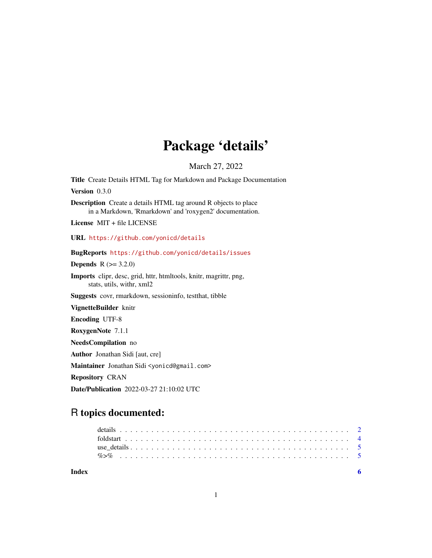# Package 'details'

March 27, 2022

Title Create Details HTML Tag for Markdown and Package Documentation

Version 0.3.0

Description Create a details HTML tag around R objects to place in a Markdown, 'Rmarkdown' and 'roxygen2' documentation.

License MIT + file LICENSE

URL <https://github.com/yonicd/details>

#### BugReports <https://github.com/yonicd/details/issues>

**Depends** R  $(>= 3.2.0)$ 

Imports clipr, desc, grid, httr, htmltools, knitr, magrittr, png, stats, utils, withr, xml2

Suggests covr, rmarkdown, sessioninfo, testthat, tibble

VignetteBuilder knitr

Encoding UTF-8

RoxygenNote 7.1.1

NeedsCompilation no

Author Jonathan Sidi [aut, cre]

Maintainer Jonathan Sidi <yonicd@gmail.com>

Repository CRAN

Date/Publication 2022-03-27 21:10:02 UTC

## R topics documented:

**Index** [6](#page-5-0) **6**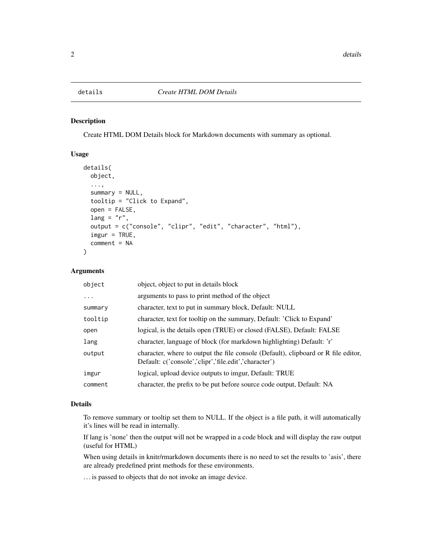#### <span id="page-1-1"></span><span id="page-1-0"></span>Description

Create HTML DOM Details block for Markdown documents with summary as optional.

#### Usage

```
details(
  object,
  ...,
  summary = NULL,
  tooltip = "Click to Expand",
  open = FALSE,
  lang = "r",output = c("console", "clipr", "edit", "character", "html"),
  imgur = TRUE,
  comment = NA
\mathcal{L}
```
#### Arguments

| object   | object, object to put in details block                                                                                                      |
|----------|---------------------------------------------------------------------------------------------------------------------------------------------|
| $\ddots$ | arguments to pass to print method of the object                                                                                             |
| summary  | character, text to put in summary block, Default: NULL                                                                                      |
| tooltip  | character, text for tooltip on the summary, Default: 'Click to Expand'                                                                      |
| open     | logical, is the details open (TRUE) or closed (FALSE), Default: FALSE                                                                       |
| lang     | character, language of block (for markdown highlighting) Default: 'r'                                                                       |
| output   | character, where to output the file console (Default), clipboard or R file editor,<br>Default: c('console','clipr','file.edit','character') |
| imgur    | logical, upload device outputs to imgur, Default: TRUE                                                                                      |
| comment  | character, the prefix to be put before source code output, Default: NA                                                                      |

#### Details

To remove summary or tooltip set them to NULL. If the object is a file path, it will automatically it's lines will be read in internally.

If lang is 'none' then the output will not be wrapped in a code block and will display the raw output (useful for HTML)

When using details in knitr/rmarkdown documents there is no need to set the results to 'asis', there are already predefined print methods for these environments.

. . . is passed to objects that do not invoke an image device.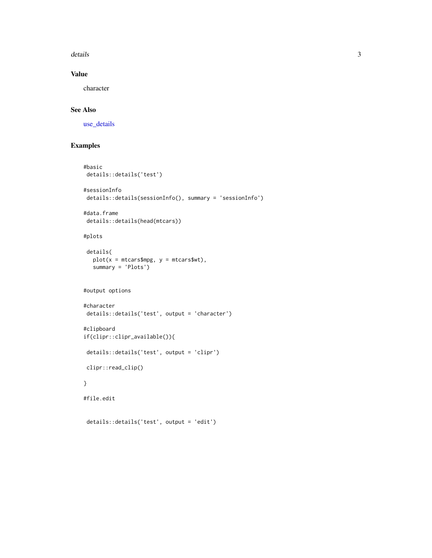<span id="page-2-0"></span>details 3

#### Value

character

#### See Also

[use\\_details](#page-4-1)

### Examples

```
#basic
details::details('test')
#sessionInfo
details::details(sessionInfo(), summary = 'sessionInfo')
#data.frame
details::details(head(mtcars))
#plots
details(
  plot(x = mtcars$mpg, y = mtcars$wt),summary = 'Plots')
#output options
#character
details::details('test', output = 'character')
#clipboard
if(clipr::clipr_available()){
details::details('test', output = 'clipr')
clipr::read_clip()
}
#file.edit
details::details('test', output = 'edit')
```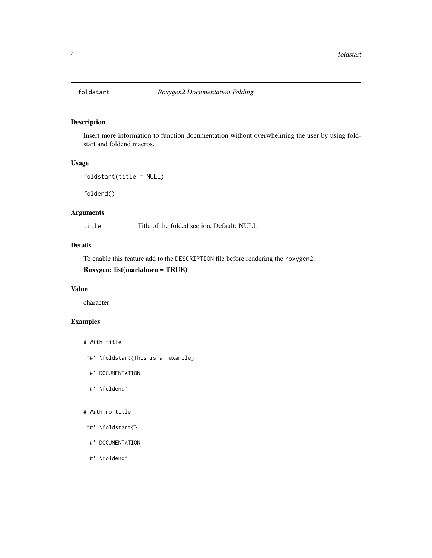<span id="page-3-0"></span>

#### Description

Insert more information to function documentation without overwhelming the user by using foldstart and foldend macros.

#### Usage

```
foldstart(title = NULL)
```
foldend()

#### Arguments

title Title of the folded section, Default: NULL

#### Details

To enable this feature add to the DESCRIPTION file before rendering the roxygen2:

#### Roxygen: list(markdown = TRUE)

#### Value

character

#### Examples

```
# With title
```
- "#' \foldstart{This is an example}
- #' DOCUMENTATION
- #' \foldend"

#### # With no title

- "#' \foldstart{}
- #' DOCUMENTATION
- #' \foldend"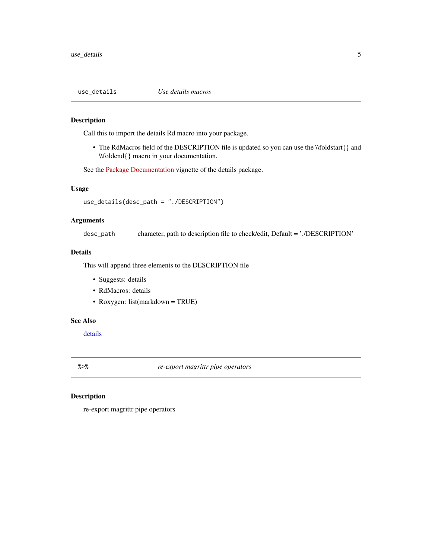<span id="page-4-1"></span><span id="page-4-0"></span>

#### Description

Call this to import the details Rd macro into your package.

• The RdMacros field of the DESCRIPTION file is updated so you can use the \\foldstart{} and \\foldend{} macro in your documentation.

See the [Package Documentation](https://yonicd.github.io/details/articles/documentation.html) vignette of the details package.

#### Usage

use\_details(desc\_path = "./DESCRIPTION")

#### Arguments

desc\_path character, path to description file to check/edit, Default = './DESCRIPTION'

#### Details

This will append three elements to the DESCRIPTION file

- Suggests: details
- RdMacros: details
- Roxygen: list(markdown = TRUE)

#### See Also

[details](#page-1-1)

%>% *re-export magrittr pipe operators*

#### Description

re-export magrittr pipe operators